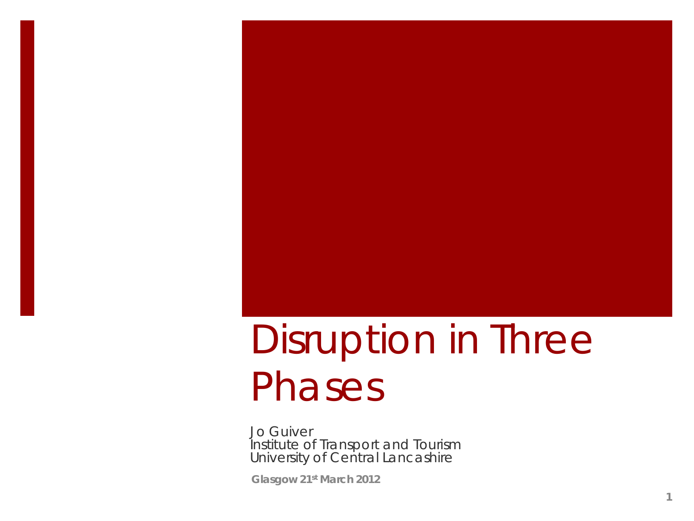### Disruption in Three Phases

Jo Guiver Institute of Transport and Tourism University of Central Lancashire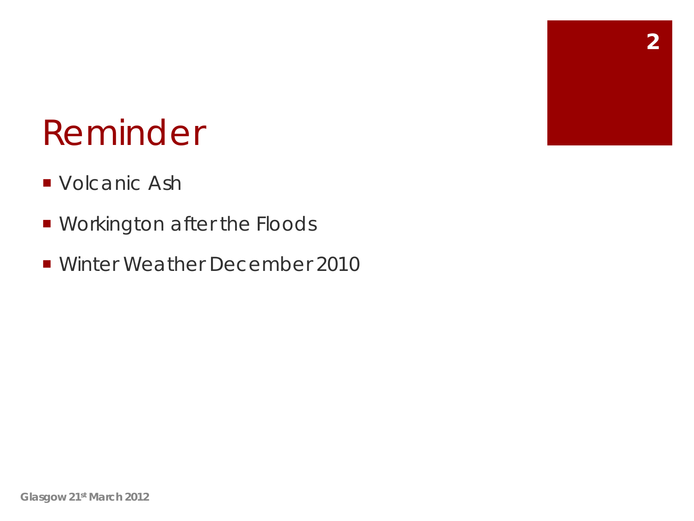#### Reminder

- **Volcanic Ash**
- **Norkington after the Floods**
- Winter Weather December 2010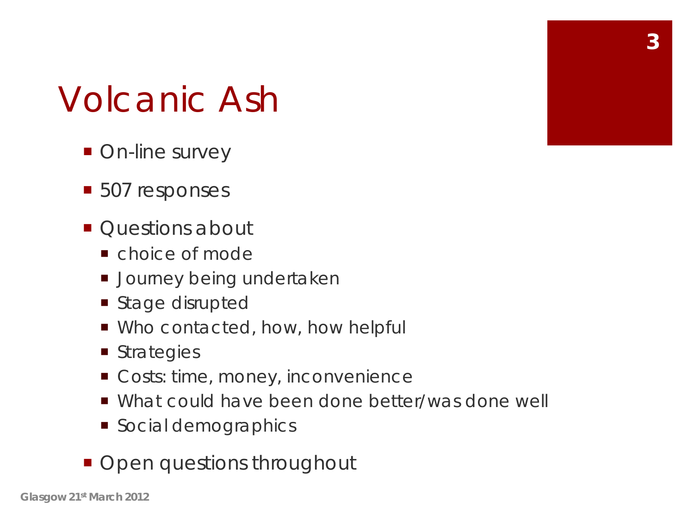#### Volcanic Ash

- On-line survey
- 507 responses
- $\blacksquare$  Questions about
	- choice of mode
	- **Journey being undertaken**
	- Stage disrupted
	- Who contacted, how, how helpful
	- **Strategies**
	- Costs: time, money, inconvenience
	- What could have been done better/was done well
	- **Social demographics**
- **Open questions throughout**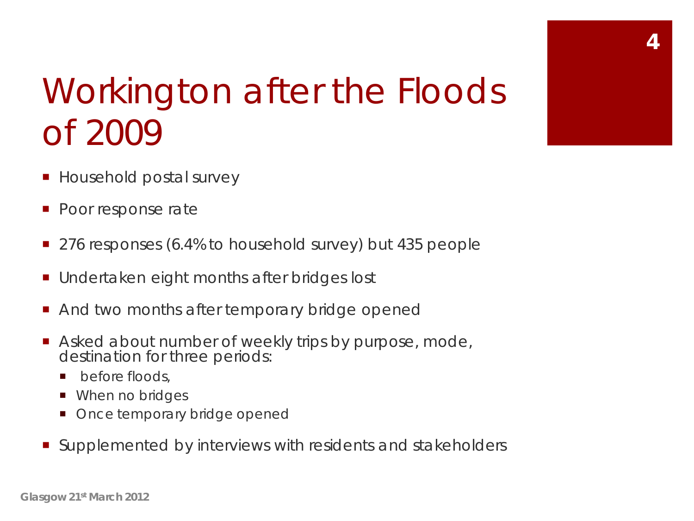

### Workington after the Floods of 2009

- Household postal survey
- Poor response rate
- 276 responses (6.4% to household survey) but 435 people
- Undertaken eight months after bridges lost
- And two months after temporary bridge opened
- Asked about number of weekly trips by purpose, mode, destination for three periods:
	- **p** before floods.
	- When no bridges
	- Once temporary bridge opened
- Supplemented by interviews with residents and stakeholders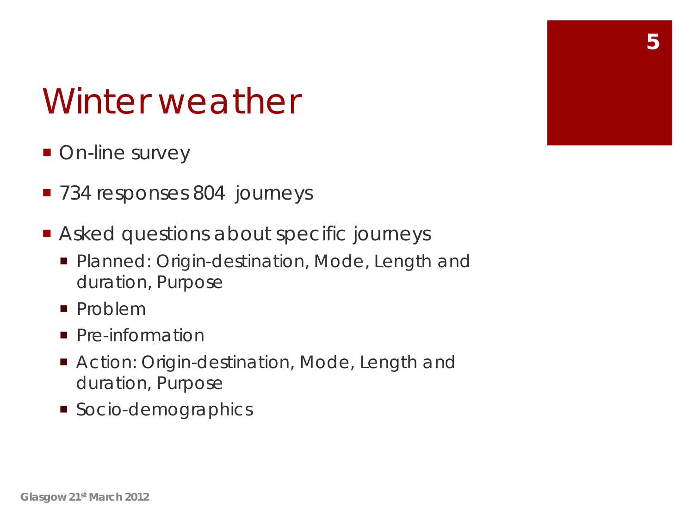#### Winter weather

- On-line survey
- 734 responses 804 journeys
- Asked questions about specific journeys
	- **Planned: Origin-destination, Mode, Length and** duration, Purpose
	- **Problem**
	- **Pre-information**
	- Action: Origin-destination, Mode, Length and duration, Purpose
	- Socio-demographics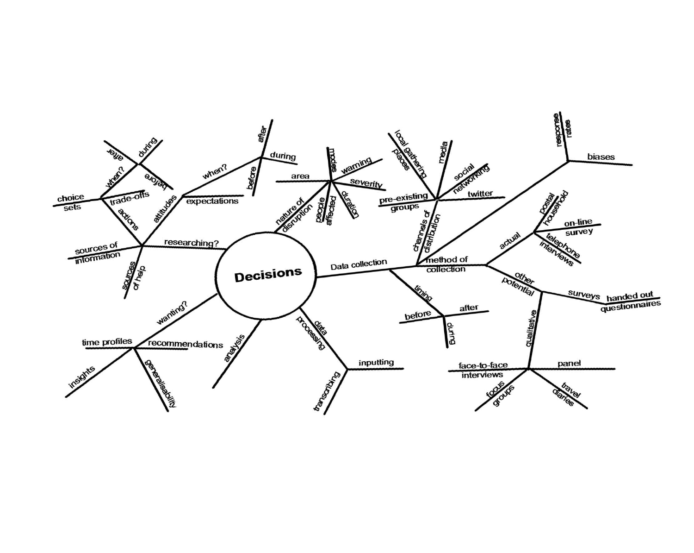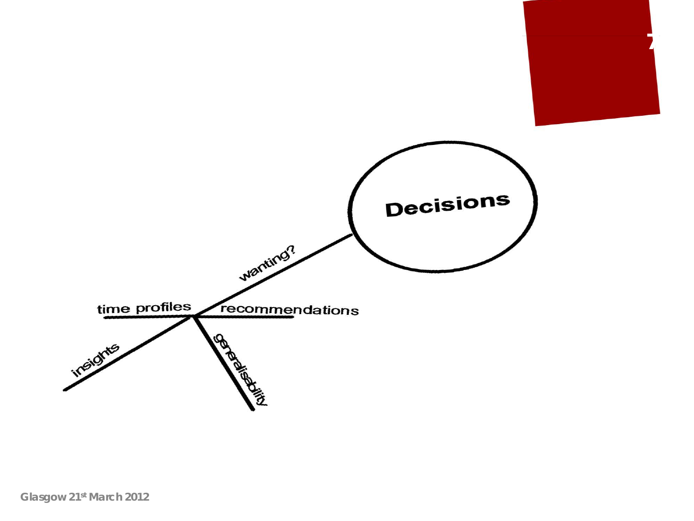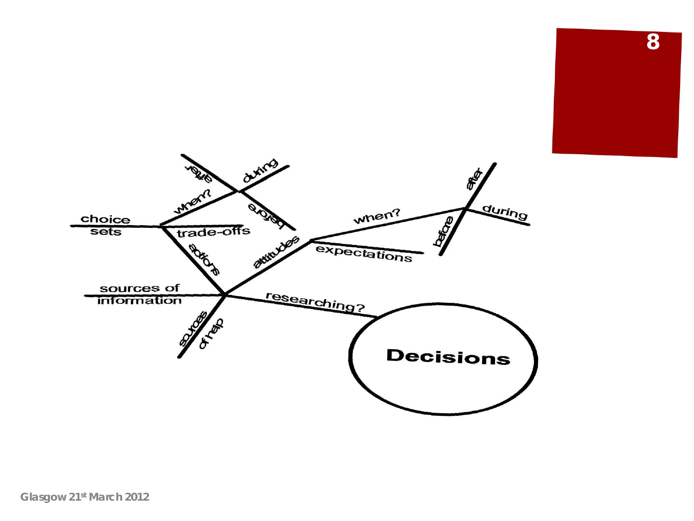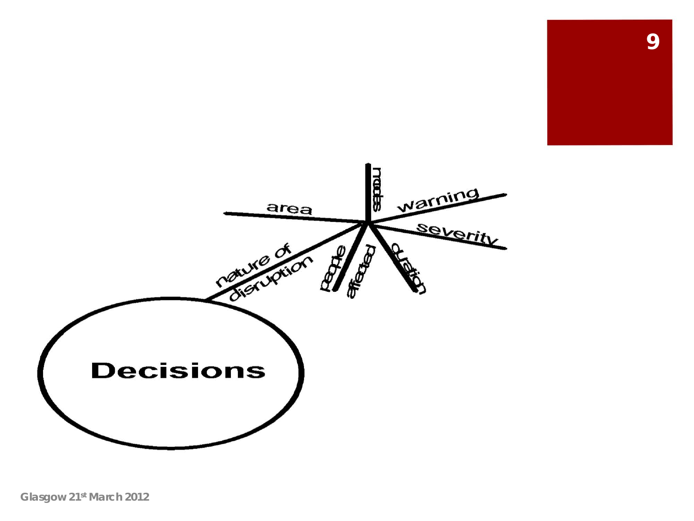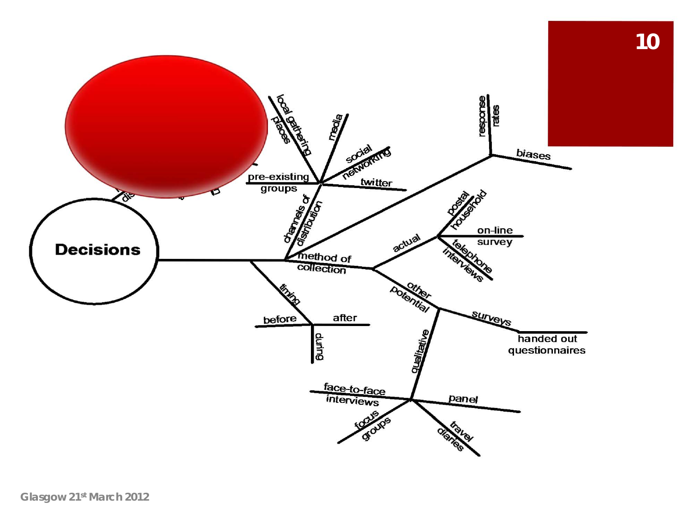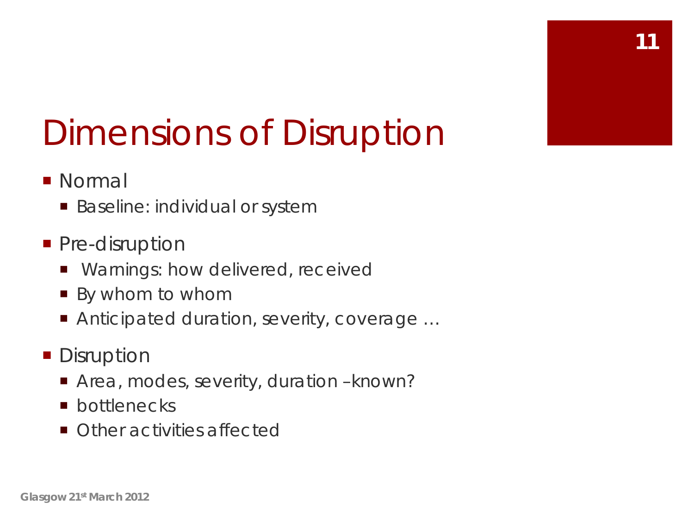#### Dimensions of Disruption

- **Normal** 
	- Baseline: individual or system
- **Pre-disruption** 
	- **Narnings: how delivered, received**
	- By whom to whom
	- Anticipated duration, severity, coverage ...
- **Disruption** 
	- Area, modes, severity, duration known?
	- **n** bottlenecks
	- **Other activities affected**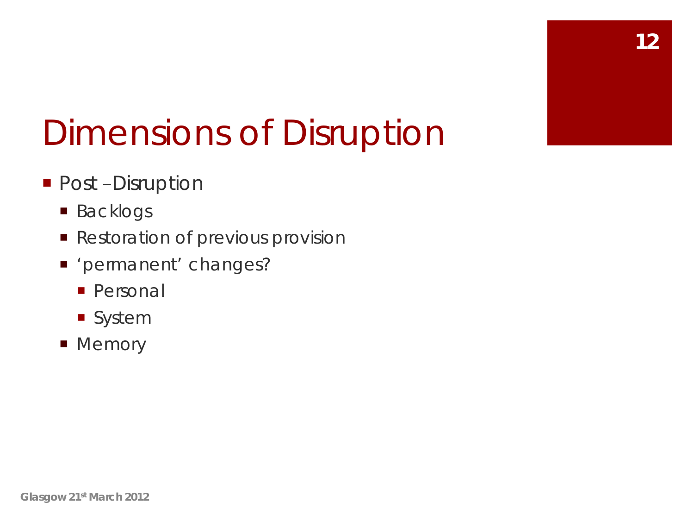#### Dimensions of Disruption

#### ■ Post –Disruption

- Backlogs
- **Restoration of previous provision**
- 'permanent' changes?
	- **Personal**
	- **System**
- **Memory**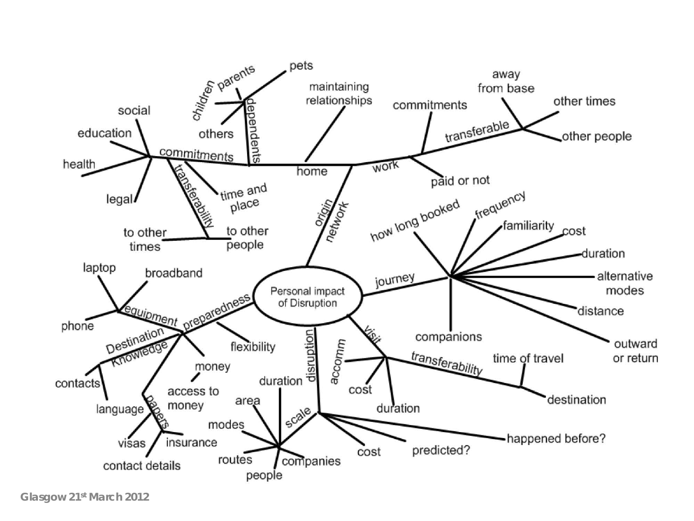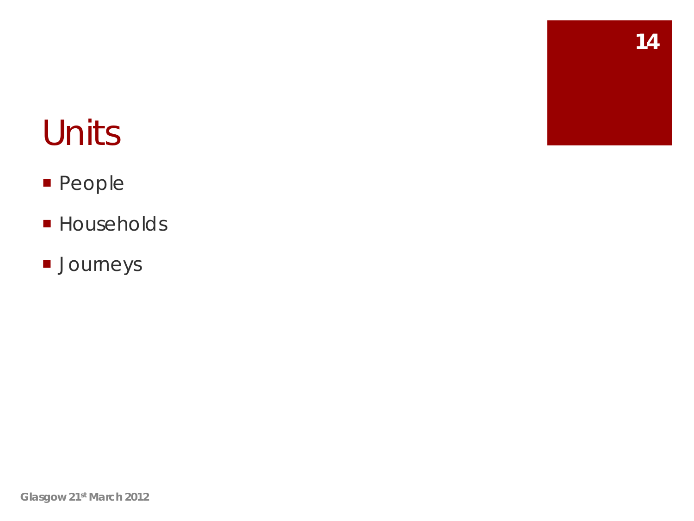#### Units

- **People**
- **Households**
- **Journeys**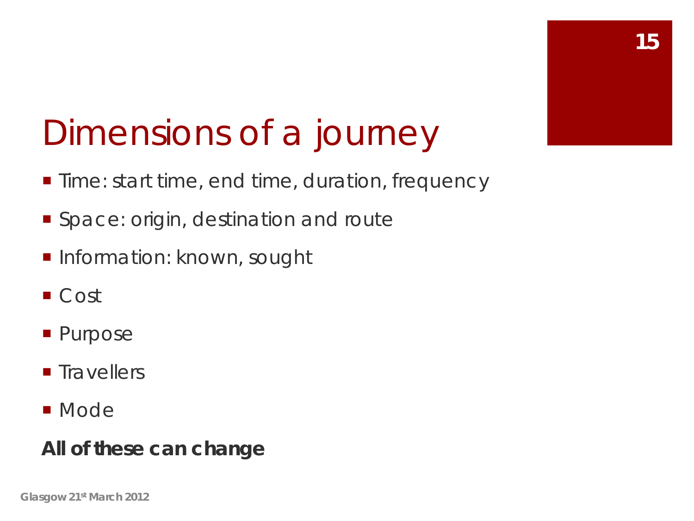#### Dimensions of a journey

- **Time: start time, end time, duration, frequency**
- **Space: origin, destination and route**
- **Information: known, sought**
- Cost
- **Purpose**
- **Travellers**
- **Node**

#### **All of these can change**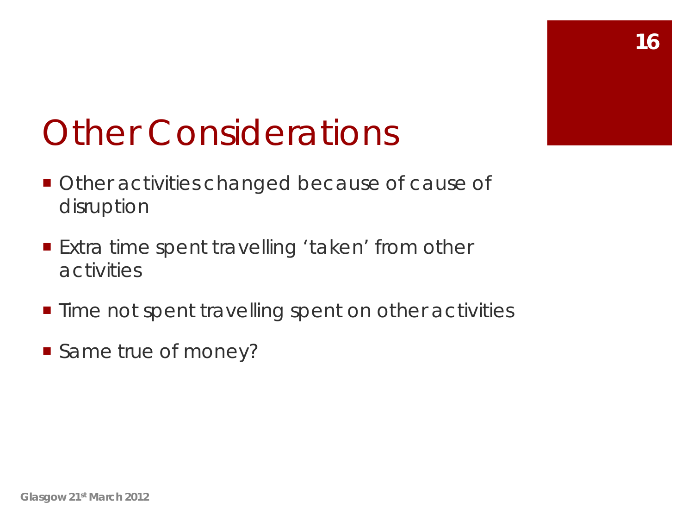#### Other Considerations

- **Other activities changed because of cause of** disruption
- Extra time spent travelling 'taken' from other activities
- **Time not spent travelling spent on other activities**
- Same true of money?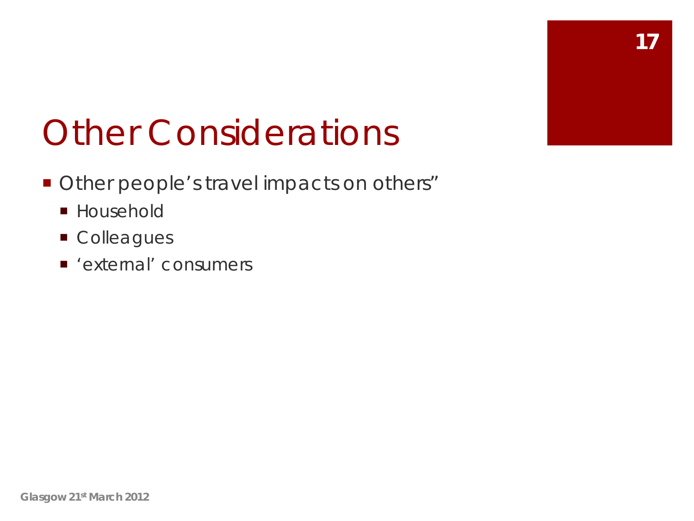#### Other Considerations

- **Other people's travel impacts on others"** 
	- **Household**
	- **Colleagues**
	- 'external' consumers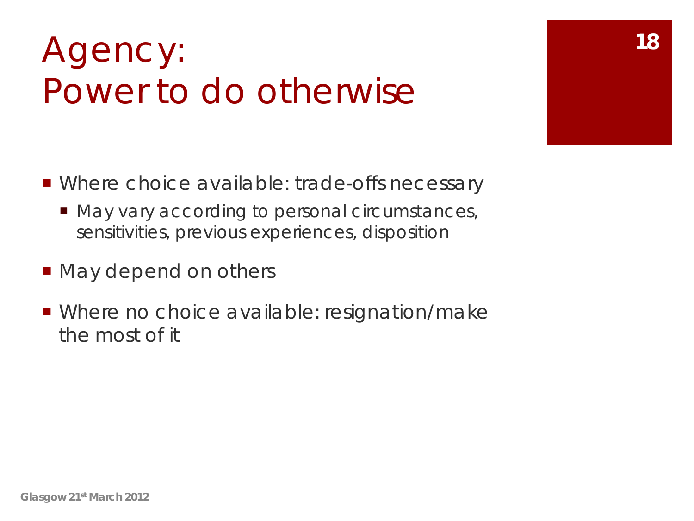#### Agency: 18 Power to do otherwise

- Where choice available: trade-offs necessary
	- May vary according to personal circumstances, sensitivities, previous experiences, disposition
- May depend on others
- Where no choice available: resignation/make the most of it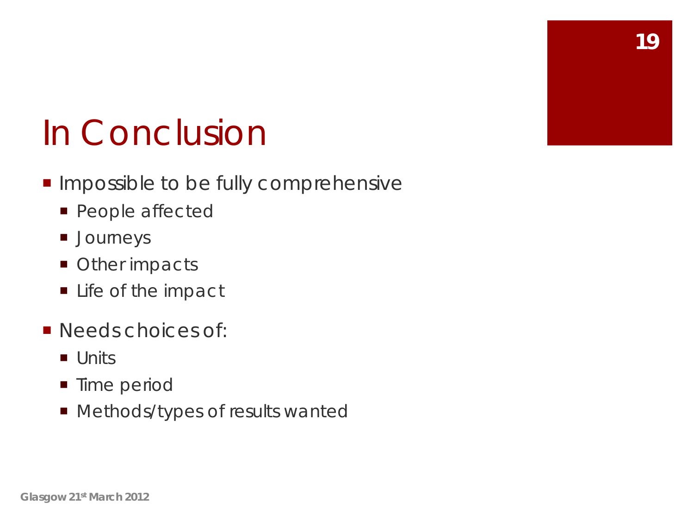#### In Conclusion

- **Impossible to be fully comprehensive** 
	- **People affected**
	- **Journeys**
	- **Other impacts**
	- **Life of the impact**
- **Needs choices of:** 
	- **Units**
	- **Time period**
	- **Methods/types of results wanted**